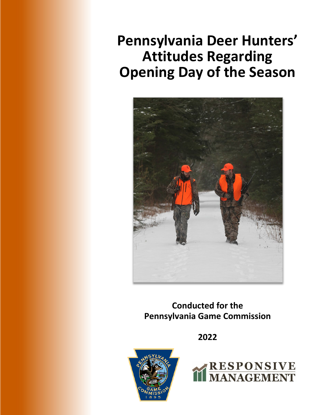# **Pennsylvania Deer Hunters' Attitudes Regarding Opening Day of the Season**



**Conducted for the Pennsylvania Game Commission**

**2022**



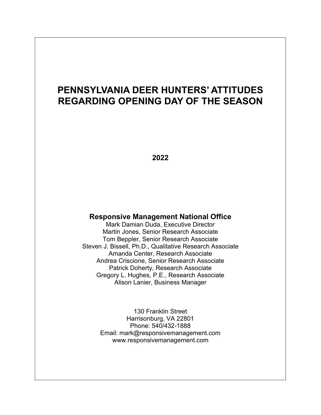# **PENNSYLVANIA DEER HUNTERS' ATTITUDES REGARDING OPENING DAY OF THE SEASON**

**2022**

#### **Responsive Management National Office**

Mark Damian Duda, Executive Director Martin Jones, Senior Research Associate Tom Beppler, Senior Research Associate Steven J. Bissell, Ph.D., Qualitative Research Associate Amanda Center, Research Associate Andrea Criscione, Senior Research Associate Patrick Doherty, Research Associate Gregory L. Hughes, P.E., Research Associate Alison Lanier, Business Manager

> 130 Franklin Street Harrisonburg, VA 22801 Phone: 540/432-1888 Email: mark@responsivemanagement.com www.responsivemanagement.com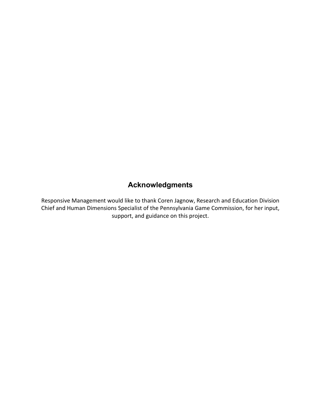### **Acknowledgments**

Responsive Management would like to thank Coren Jagnow, Research and Education Division Chief and Human Dimensions Specialist of the Pennsylvania Game Commission, for her input, support, and guidance on this project.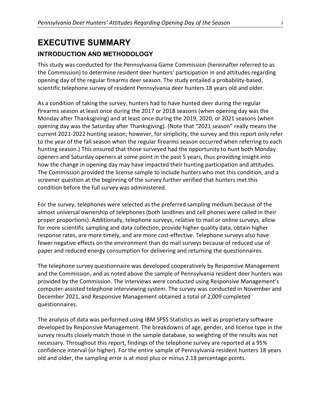# **EXECUTIVE SUMMARY**

#### **INTRODUCTION AND METHODOLOGY**

This study was conducted for the Pennsylvania Game Commission (hereinafter referred to as the Commission) to determine resident deer hunters' participation in and attitudes regarding opening day of the regular firearms deer season. The study entailed a probability-based, scientific telephone survey of resident Pennsylvania deer hunters 18 years old and older.

As a condition of taking the survey, hunters had to have hunted deer during the regular firearms season at least once during the 2017 or 2018 seasons (when opening day was the Monday after Thanksgiving) and at least once during the 2019, 2020, or 2021 seasons (when opening day was the Saturday after Thanksgiving). (Note that "2021 season" really means the current 2021-2022 hunting season; however, for simplicity, the survey and this report only refer to the year of the fall season when the regular firearms season occurred when referring to each hunting season.) This ensured that those surveyed had the opportunity to hunt both Monday openers and Saturday openers at some point in the past 5 years, thus providing insight into how the change in opening day may have impacted their hunting participation and attitudes. The Commission provided the license sample to include hunters who met this condition, and a screener question at the beginning of the survey further verified that hunters met this condition before the full survey was administered.

For the survey, telephones were selected as the preferred sampling medium because of the almost universal ownership of telephones (both landlines and cell phones were called in their proper proportions). Additionally, telephone surveys, relative to mail or online surveys, allow for more scientific sampling and data collection, provide higher quality data, obtain higher response rates, are more timely, and are more cost-effective. Telephone surveys also have fewer negative effects on the environment than do mail surveys because of reduced use of paper and reduced energy consumption for delivering and returning the questionnaires.

The telephone survey questionnaire was developed cooperatively by Responsive Management and the Commission, and as noted above the sample of Pennsylvania resident deer hunters was provided by the Commission. The interviews were conducted using Responsive Management's computer-assisted telephone interviewing system. The survey was conducted in November and December 2021, and Responsive Management obtained a total of 2,009 completed questionnaires.

The analysis of data was performed using IBM SPSS Statistics as well as proprietary software developed by Responsive Management. The breakdowns of age, gender, and license type in the survey results closely match those in the sample database, so weighting of the results was not necessary. Throughout this report, findings of the telephone survey are reported at a 95% confidence interval (or higher). For the entire sample of Pennsylvania resident hunters 18 years old and older, the sampling error is at most plus or minus 2.18 percentage points.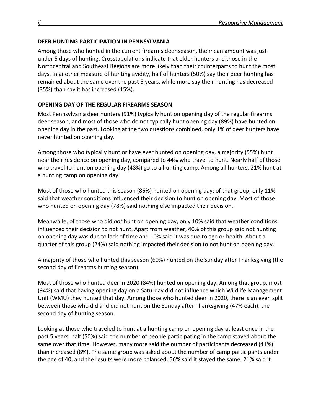#### **DEER HUNTING PARTICIPATION IN PENNSYLVANIA**

Among those who hunted in the current firearms deer season, the mean amount was just under 5 days of hunting. Crosstabulations indicate that older hunters and those in the Northcentral and Southeast Regions are more likely than their counterparts to hunt the most days. In another measure of hunting avidity, half of hunters (50%) say their deer hunting has remained about the same over the past 5 years, while more say their hunting has decreased (35%) than say it has increased (15%).

#### **OPENING DAY OF THE REGULAR FIREARMS SEASON**

Most Pennsylvania deer hunters (91%) typically hunt on opening day of the regular firearms deer season, and most of those who do not typically hunt opening day (89%) have hunted on opening day in the past. Looking at the two questions combined, only 1% of deer hunters have never hunted on opening day.

Among those who typically hunt or have ever hunted on opening day, a majority (55%) hunt near their residence on opening day, compared to 44% who travel to hunt. Nearly half of those who travel to hunt on opening day (48%) go to a hunting camp. Among all hunters, 21% hunt at a hunting camp on opening day.

Most of those who hunted this season (86%) hunted on opening day; of that group, only 11% said that weather conditions influenced their decision to hunt on opening day. Most of those who hunted on opening day (78%) said nothing else impacted their decision.

Meanwhile, of those who did *not* hunt on opening day, only 10% said that weather conditions influenced their decision to not hunt. Apart from weather, 40% of this group said not hunting on opening day was due to lack of time and 10% said it was due to age or health. About a quarter of this group (24%) said nothing impacted their decision to not hunt on opening day.

A majority of those who hunted this season (60%) hunted on the Sunday after Thanksgiving (the second day of firearms hunting season).

Most of those who hunted deer in 2020 (84%) hunted on opening day. Among that group, most (94%) said that having opening day on a Saturday did not influence which Wildlife Management Unit (WMU) they hunted that day. Among those who hunted deer in 2020, there is an even split between those who did and did not hunt on the Sunday after Thanksgiving (47% each), the second day of hunting season.

Looking at those who traveled to hunt at a hunting camp on opening day at least once in the past 5 years, half (50%) said the number of people participating in the camp stayed about the same over that time. However, many more said the number of participants decreased (41%) than increased (8%). The same group was asked about the number of camp participants under the age of 40, and the results were more balanced: 56% said it stayed the same, 21% said it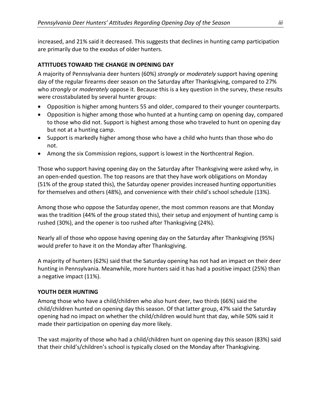increased, and 21% said it decreased. This suggests that declines in hunting camp participation are primarily due to the exodus of older hunters.

#### **ATTITUDES TOWARD THE CHANGE IN OPENING DAY**

A majority of Pennsylvania deer hunters (60%) *strongly* or *moderately* support having opening day of the regular firearms deer season on the Saturday after Thanksgiving, compared to 27% who *strongly* or *moderately* oppose it. Because this is a key question in the survey, these results were crosstabulated by several hunter groups:

- Opposition is higher among hunters 55 and older, compared to their younger counterparts.
- Opposition is higher among those who hunted at a hunting camp on opening day, compared to those who did not. Support is highest among those who traveled to hunt on opening day but not at a hunting camp.
- Support is markedly higher among those who have a child who hunts than those who do not.
- Among the six Commission regions, support is lowest in the Northcentral Region.

Those who support having opening day on the Saturday after Thanksgiving were asked why, in an open-ended question. The top reasons are that they have work obligations on Monday (51% of the group stated this), the Saturday opener provides increased hunting opportunities for themselves and others (48%), and convenience with their child's school schedule (13%).

Among those who oppose the Saturday opener, the most common reasons are that Monday was the tradition (44% of the group stated this), their setup and enjoyment of hunting camp is rushed (30%), and the opener is too rushed after Thanksgiving (24%).

Nearly all of those who oppose having opening day on the Saturday after Thanksgiving (95%) would prefer to have it on the Monday after Thanksgiving.

A majority of hunters (62%) said that the Saturday opening has not had an impact on their deer hunting in Pennsylvania. Meanwhile, more hunters said it has had a positive impact (25%) than a negative impact (11%).

#### **YOUTH DEER HUNTING**

Among those who have a child/children who also hunt deer, two thirds (66%) said the child/children hunted on opening day this season. Of that latter group, 47% said the Saturday opening had no impact on whether the child/children would hunt that day, while 50% said it made their participation on opening day more likely.

The vast majority of those who had a child/children hunt on opening day this season (83%) said that their child's/children's school is typically closed on the Monday after Thanksgiving.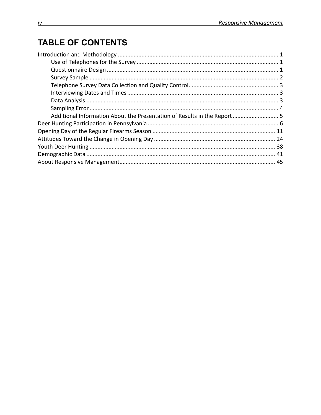# **TABLE OF CONTENTS**

| Additional Information About the Presentation of Results in the Report  5 |  |
|---------------------------------------------------------------------------|--|
|                                                                           |  |
|                                                                           |  |
|                                                                           |  |
|                                                                           |  |
|                                                                           |  |
|                                                                           |  |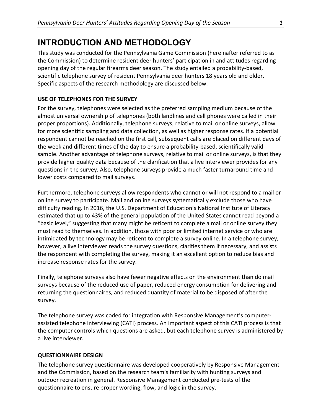### **INTRODUCTION AND METHODOLOGY**

This study was conducted for the Pennsylvania Game Commission (hereinafter referred to as the Commission) to determine resident deer hunters' participation in and attitudes regarding opening day of the regular firearms deer season. The study entailed a probability-based, scientific telephone survey of resident Pennsylvania deer hunters 18 years old and older. Specific aspects of the research methodology are discussed below.

#### **USE OF TELEPHONES FOR THE SURVEY**

For the survey, telephones were selected as the preferred sampling medium because of the almost universal ownership of telephones (both landlines and cell phones were called in their proper proportions). Additionally, telephone surveys, relative to mail or online surveys, allow for more scientific sampling and data collection, as well as higher response rates. If a potential respondent cannot be reached on the first call, subsequent calls are placed on different days of the week and different times of the day to ensure a probability-based, scientifically valid sample. Another advantage of telephone surveys, relative to mail or online surveys, is that they provide higher quality data because of the clarification that a live interviewer provides for any questions in the survey. Also, telephone surveys provide a much faster turnaround time and lower costs compared to mail surveys.

Furthermore, telephone surveys allow respondents who cannot or will not respond to a mail or online survey to participate. Mail and online surveys systematically exclude those who have difficulty reading. In 2016, the U.S. Department of Education's National Institute of Literacy estimated that up to 43% of the general population of the United States cannot read beyond a "basic level," suggesting that many might be reticent to complete a mail or online survey they must read to themselves. In addition, those with poor or limited internet service or who are intimidated by technology may be reticent to complete a survey online. In a telephone survey, however, a live interviewer reads the survey questions, clarifies them if necessary, and assists the respondent with completing the survey, making it an excellent option to reduce bias and increase response rates for the survey.

Finally, telephone surveys also have fewer negative effects on the environment than do mail surveys because of the reduced use of paper, reduced energy consumption for delivering and returning the questionnaires, and reduced quantity of material to be disposed of after the survey.

The telephone survey was coded for integration with Responsive Management's computerassisted telephone interviewing (CATI) process. An important aspect of this CATI process is that the computer controls which questions are asked, but each telephone survey is administered by a live interviewer.

#### **QUESTIONNAIRE DESIGN**

The telephone survey questionnaire was developed cooperatively by Responsive Management and the Commission, based on the research team's familiarity with hunting surveys and outdoor recreation in general. Responsive Management conducted pre-tests of the questionnaire to ensure proper wording, flow, and logic in the survey.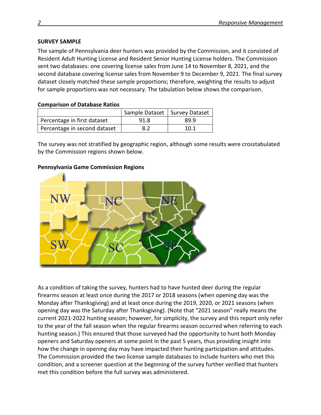#### **SURVEY SAMPLE**

The sample of Pennsylvania deer hunters was provided by the Commission, and it consisted of Resident Adult Hunting License and Resident Senior Hunting License holders. The Commission sent two databases: one covering license sales from June 14 to November 8, 2021, and the second database covering license sales from November 9 to December 9, 2021. The final survey dataset closely matched these sample proportions; therefore, weighting the results to adjust for sample proportions was not necessary. The tabulation below shows the comparison.

#### **Comparison of Database Ratios**

|                              | Sample Dataset   Survey Dataset |      |
|------------------------------|---------------------------------|------|
| Percentage in first dataset  | 91.8                            | 89.9 |
| Percentage in second dataset | 8.2                             | 10.1 |

The survey was not stratified by geographic region, although some results were crosstabulated by the Commission regions shown below.

#### **Pennsylvania Game Commission Regions**



As a condition of taking the survey, hunters had to have hunted deer during the regular firearms season at least once during the 2017 or 2018 seasons (when opening day was the Monday after Thanksgiving) and at least once during the 2019, 2020, or 2021 seasons (when opening day was the Saturday after Thanksgiving). (Note that "2021 season" really means the current 2021-2022 hunting season; however, for simplicity, the survey and this report only refer to the year of the fall season when the regular firearms season occurred when referring to each hunting season.) This ensured that those surveyed had the opportunity to hunt both Monday openers and Saturday openers at some point in the past 5 years, thus providing insight into how the change in opening day may have impacted their hunting participation and attitudes. The Commission provided the two license sample databases to include hunters who met this condition, and a screener question at the beginning of the survey further verified that hunters met this condition before the full survey was administered.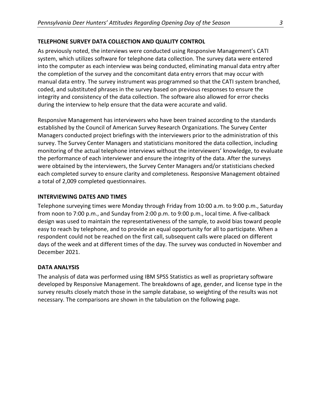#### **TELEPHONE SURVEY DATA COLLECTION AND QUALITY CONTROL**

As previously noted, the interviews were conducted using Responsive Management's CATI system, which utilizes software for telephone data collection. The survey data were entered into the computer as each interview was being conducted, eliminating manual data entry after the completion of the survey and the concomitant data entry errors that may occur with manual data entry. The survey instrument was programmed so that the CATI system branched, coded, and substituted phrases in the survey based on previous responses to ensure the integrity and consistency of the data collection. The software also allowed for error checks during the interview to help ensure that the data were accurate and valid.

Responsive Management has interviewers who have been trained according to the standards established by the Council of American Survey Research Organizations. The Survey Center Managers conducted project briefings with the interviewers prior to the administration of this survey. The Survey Center Managers and statisticians monitored the data collection, including monitoring of the actual telephone interviews without the interviewers' knowledge, to evaluate the performance of each interviewer and ensure the integrity of the data. After the surveys were obtained by the interviewers, the Survey Center Managers and/or statisticians checked each completed survey to ensure clarity and completeness. Responsive Management obtained a total of 2,009 completed questionnaires.

#### **INTERVIEWING DATES AND TIMES**

Telephone surveying times were Monday through Friday from 10:00 a.m. to 9:00 p.m., Saturday from noon to 7:00 p.m., and Sunday from 2:00 p.m. to 9:00 p.m., local time. A five-callback design was used to maintain the representativeness of the sample, to avoid bias toward people easy to reach by telephone, and to provide an equal opportunity for all to participate. When a respondent could not be reached on the first call, subsequent calls were placed on different days of the week and at different times of the day. The survey was conducted in November and December 2021.

#### **DATA ANALYSIS**

The analysis of data was performed using IBM SPSS Statistics as well as proprietary software developed by Responsive Management. The breakdowns of age, gender, and license type in the survey results closely match those in the sample database, so weighting of the results was not necessary. The comparisons are shown in the tabulation on the following page.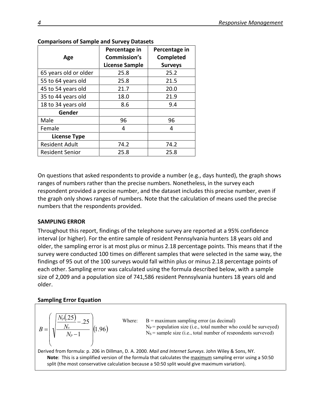| Age                    | Percentage in<br>Commission's<br><b>License Sample</b> | Percentage in<br><b>Completed</b><br><b>Surveys</b> |
|------------------------|--------------------------------------------------------|-----------------------------------------------------|
| 65 years old or older  | 25.8                                                   | 25.2                                                |
| 55 to 64 years old     | 25.8                                                   | 21.5                                                |
| 45 to 54 years old     | 21.7                                                   | 20.0                                                |
| 35 to 44 years old     | 18.0                                                   | 21.9                                                |
| 18 to 34 years old     | 8.6                                                    | 9.4                                                 |
| Gender                 |                                                        |                                                     |
| Male                   | 96                                                     | 96                                                  |
| Female                 | 4                                                      | 4                                                   |
| <b>License Type</b>    |                                                        |                                                     |
| <b>Resident Adult</b>  | 74.2                                                   | 74.2                                                |
| <b>Resident Senior</b> | 25.8                                                   | 25.8                                                |

#### **Comparisons of Sample and Survey Datasets**

On questions that asked respondents to provide a number (e.g., days hunted), the graph shows ranges of numbers rather than the precise numbers. Nonetheless, in the survey each respondent provided a precise number, and the dataset includes this precise number, even if the graph only shows ranges of numbers. Note that the calculation of means used the precise numbers that the respondents provided.

#### **SAMPLING ERROR**

Throughout this report, findings of the telephone survey are reported at a 95% confidence interval (or higher). For the entire sample of resident Pennsylvania hunters 18 years old and older, the sampling error is at most plus or minus 2.18 percentage points. This means that if the survey were conducted 100 times on different samples that were selected in the same way, the findings of 95 out of the 100 surveys would fall within plus or minus 2.18 percentage points of each other. Sampling error was calculated using the formula described below, with a sample size of 2,009 and a population size of 741,586 resident Pennsylvania hunters 18 years old and older.

#### **Sampling Error Equation**

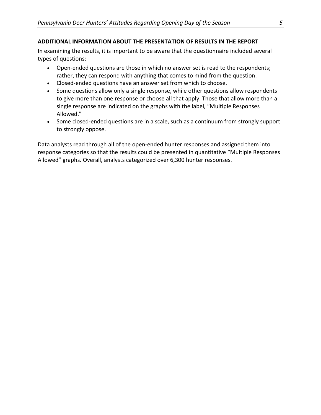In examining the results, it is important to be aware that the questionnaire included several types of questions:

- Open-ended questions are those in which no answer set is read to the respondents; rather, they can respond with anything that comes to mind from the question.
- Closed-ended questions have an answer set from which to choose.
- Some questions allow only a single response, while other questions allow respondents to give more than one response or choose all that apply. Those that allow more than a single response are indicated on the graphs with the label, "Multiple Responses Allowed."
- Some closed-ended questions are in a scale, such as a continuum from strongly support to strongly oppose.

Data analysts read through all of the open-ended hunter responses and assigned them into response categories so that the results could be presented in quantitative "Multiple Responses Allowed" graphs. Overall, analysts categorized over 6,300 hunter responses.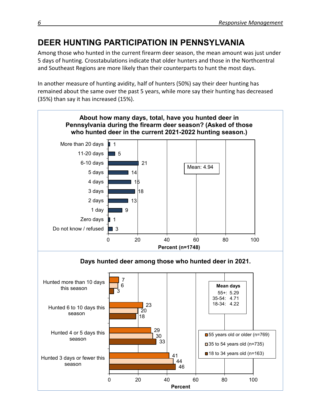# **DEER HUNTING PARTICIPATION IN PENNSYLVANIA**

Among those who hunted in the current firearm deer season, the mean amount was just under 5 days of hunting. Crosstabulations indicate that older hunters and those in the Northcentral and Southeast Regions are more likely than their counterparts to hunt the most days.

In another measure of hunting avidity, half of hunters (50%) say their deer hunting has remained about the same over the past 5 years, while more say their hunting has decreased (35%) than say it has increased (15%).

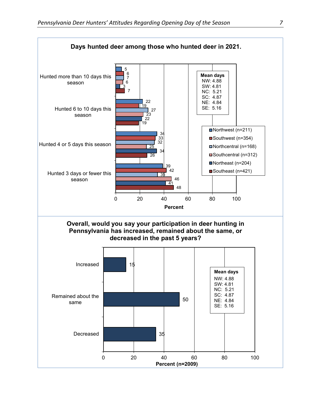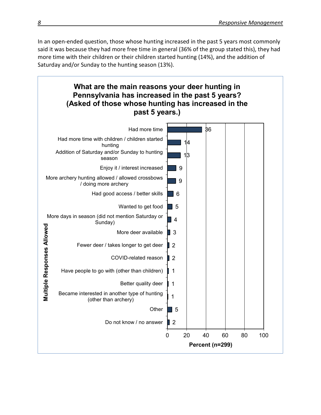In an open-ended question, those whose hunting increased in the past 5 years most commonly said it was because they had more free time in general (36% of the group stated this), they had more time with their children or their children started hunting (14%), and the addition of Saturday and/or Sunday to the hunting season (13%).

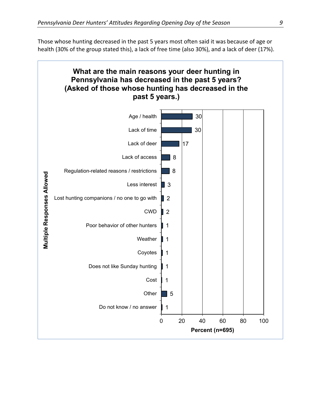Those whose hunting decreased in the past 5 years most often said it was because of age or health (30% of the group stated this), a lack of free time (also 30%), and a lack of deer (17%).

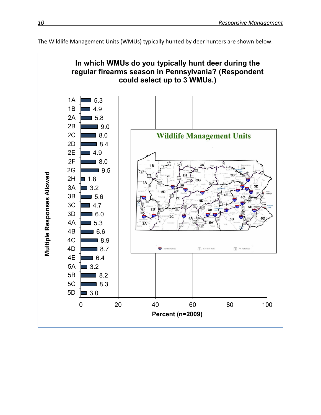

The Wildlife Management Units (WMUs) typically hunted by deer hunters are shown below.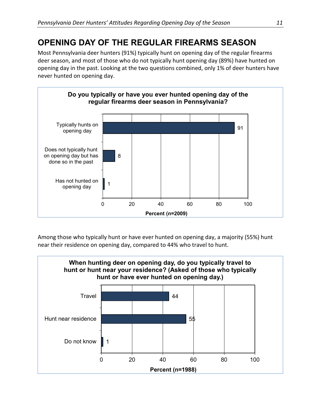# **OPENING DAY OF THE REGULAR FIREARMS SEASON**

Most Pennsylvania deer hunters (91%) typically hunt on opening day of the regular firearms deer season, and most of those who do not typically hunt opening day (89%) have hunted on opening day in the past. Looking at the two questions combined, only 1% of deer hunters have never hunted on opening day.



Among those who typically hunt or have ever hunted on opening day, a majority (55%) hunt near their residence on opening day, compared to 44% who travel to hunt.

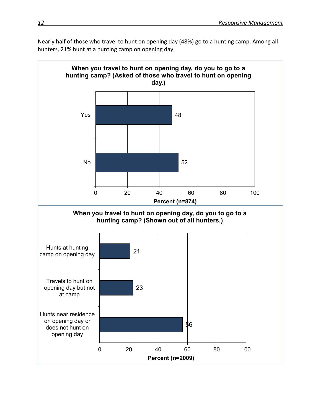Nearly half of those who travel to hunt on opening day (48%) go to a hunting camp. Among all hunters, 21% hunt at a hunting camp on opening day.

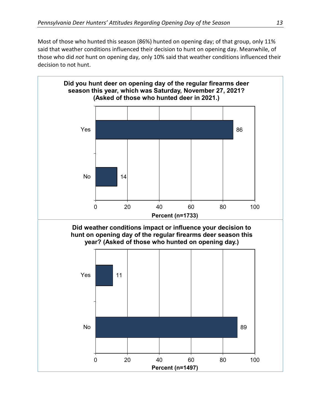Most of those who hunted this season (86%) hunted on opening day; of that group, only 11% said that weather conditions influenced their decision to hunt on opening day. Meanwhile, of those who did *not* hunt on opening day, only 10% said that weather conditions influenced their decision to not hunt.

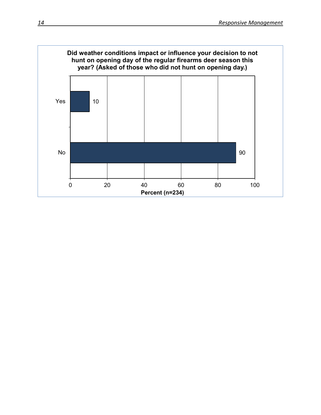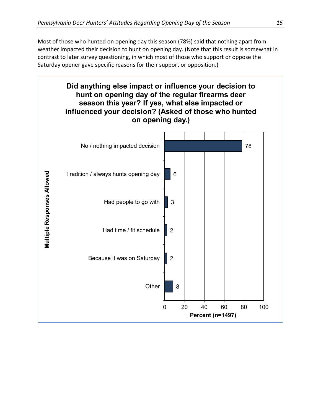Most of those who hunted on opening day this season (78%) said that nothing apart from weather impacted their decision to hunt on opening day. (Note that this result is somewhat in contrast to later survey questioning, in which most of those who support or oppose the Saturday opener gave specific reasons for their support or opposition.)

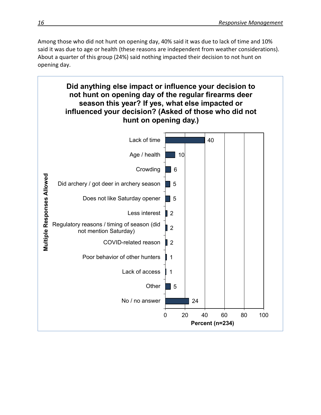Among those who did not hunt on opening day, 40% said it was due to lack of time and 10% said it was due to age or health (these reasons are independent from weather considerations). About a quarter of this group (24%) said nothing impacted their decision to not hunt on opening day.

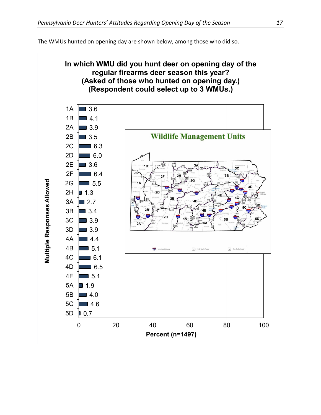The WMUs hunted on opening day are shown below, among those who did so.

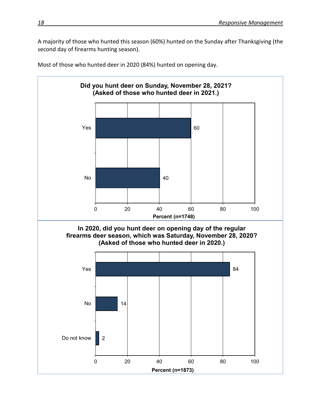A majority of those who hunted this season (60%) hunted on the Sunday after Thanksgiving (the second day of firearms hunting season).



Most of those who hunted deer in 2020 (84%) hunted on opening day.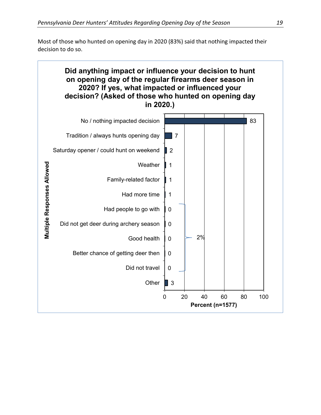Most of those who hunted on opening day in 2020 (83%) said that nothing impacted their decision to do so.

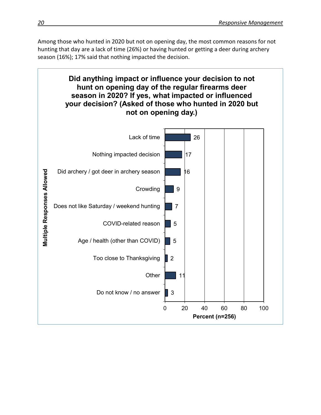Among those who hunted in 2020 but not on opening day, the most common reasons for not hunting that day are a lack of time (26%) or having hunted or getting a deer during archery season (16%); 17% said that nothing impacted the decision.

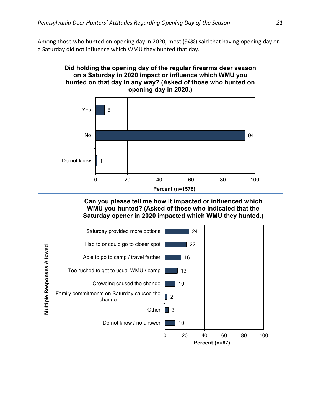Among those who hunted on opening day in 2020, most (94%) said that having opening day on a Saturday did not influence which WMU they hunted that day.

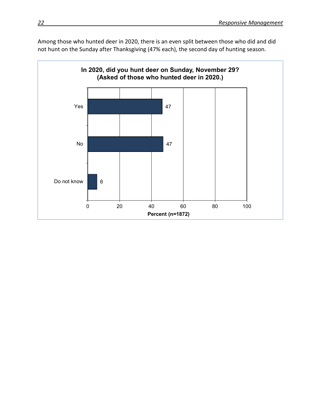Among those who hunted deer in 2020, there is an even split between those who did and did not hunt on the Sunday after Thanksgiving (47% each), the second day of hunting season.

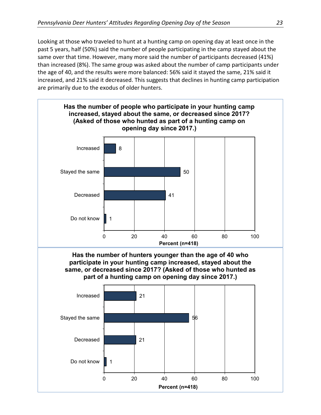Looking at those who traveled to hunt at a hunting camp on opening day at least once in the past 5 years, half (50%) said the number of people participating in the camp stayed about the same over that time. However, many more said the number of participants decreased (41%) than increased (8%). The same group was asked about the number of camp participants under the age of 40, and the results were more balanced: 56% said it stayed the same, 21% said it increased, and 21% said it decreased. This suggests that declines in hunting camp participation are primarily due to the exodus of older hunters.

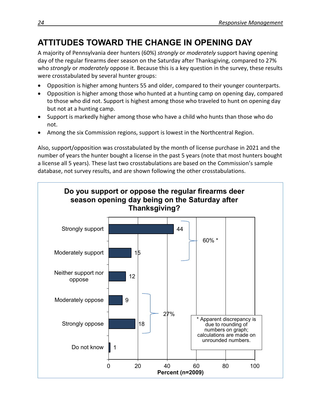# **ATTITUDES TOWARD THE CHANGE IN OPENING DAY**

A majority of Pennsylvania deer hunters (60%) *strongly* or *moderately* support having opening day of the regular firearms deer season on the Saturday after Thanksgiving, compared to 27% who *strongly* or *moderately* oppose it. Because this is a key question in the survey, these results were crosstabulated by several hunter groups:

- Opposition is higher among hunters 55 and older, compared to their younger counterparts.
- Opposition is higher among those who hunted at a hunting camp on opening day, compared to those who did not. Support is highest among those who traveled to hunt on opening day but not at a hunting camp.
- Support is markedly higher among those who have a child who hunts than those who do not.
- Among the six Commission regions, support is lowest in the Northcentral Region.

Also, support/opposition was crosstabulated by the month of license purchase in 2021 and the number of years the hunter bought a license in the past 5 years (note that most hunters bought a license all 5 years). These last two crosstabulations are based on the Commission's sample database, not survey results, and are shown following the other crosstabulations.

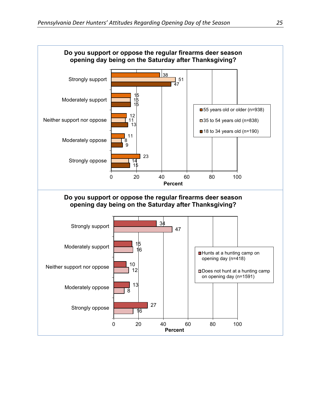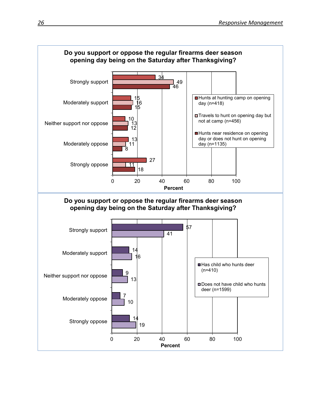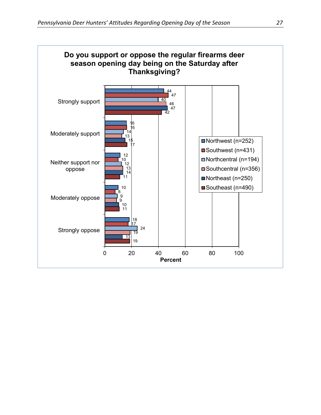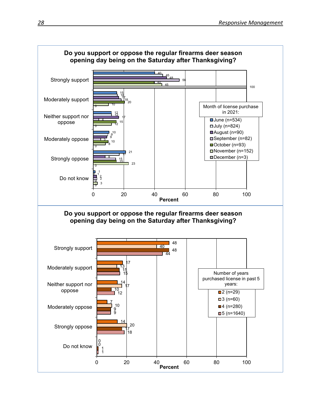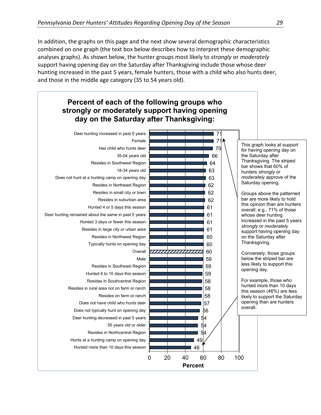In addition, the graphs on this page and the next show several demographic characteristics combined on one graph (the text box below describes how to interpret these demographic analyses graphs). As shown below, the hunter groups most likely to *strongly* or *moderately* support having opening day on the Saturday after Thanksgiving include those whose deer hunting increased in the past 5 years, female hunters, those with a child who also hunts deer, and those in the middle age category (35 to 54 years old).

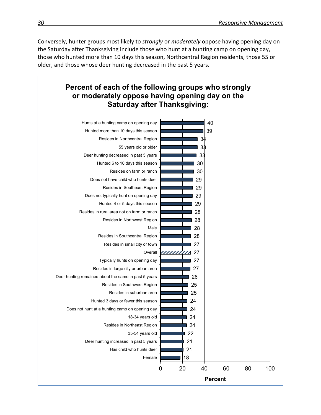Conversely, hunter groups most likely to *strongly* or *moderately* oppose having opening day on the Saturday after Thanksgiving include those who hunt at a hunting camp on opening day, those who hunted more than 10 days this season, Northcentral Region residents, those 55 or older, and those whose deer hunting decreased in the past 5 years.

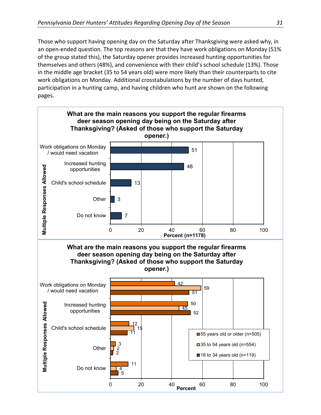Those who support having opening day on the Saturday after Thanksgiving were asked why, in an open-ended question. The top reasons are that they have work obligations on Monday (51% of the group stated this), the Saturday opener provides increased hunting opportunities for themselves and others (48%), and convenience with their child's school schedule (13%). Those in the middle age bracket (35 to 54 years old) were more likely than their counterparts to cite work obligations on Monday. Additional crosstabulations by the number of days hunted, participation in a hunting camp, and having children who hunt are shown on the following pages.

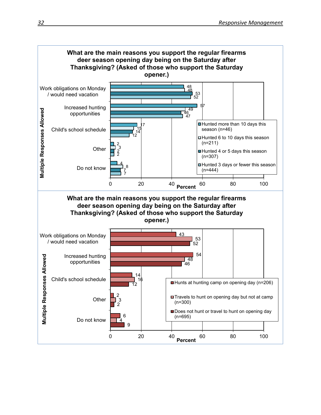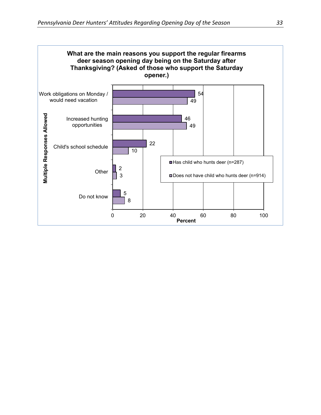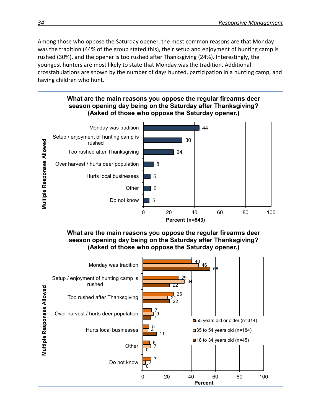Among those who oppose the Saturday opener, the most common reasons are that Monday was the tradition (44% of the group stated this), their setup and enjoyment of hunting camp is rushed (30%), and the opener is too rushed after Thanksgiving (24%). Interestingly, the youngest hunters are most likely to state that Monday was the tradition. Additional crosstabulations are shown by the number of days hunted, participation in a hunting camp, and having children who hunt.

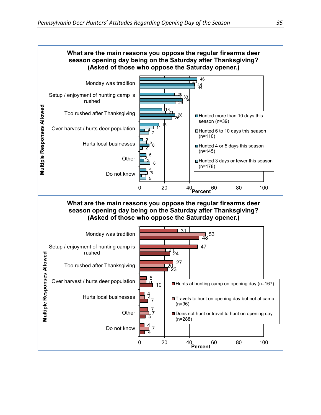

0 20 40 60 80 100 **Percent**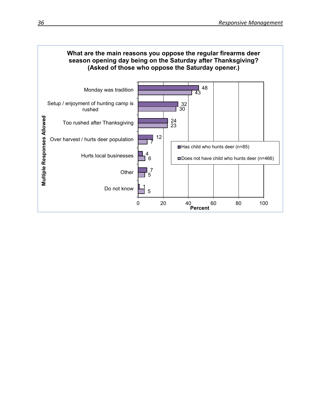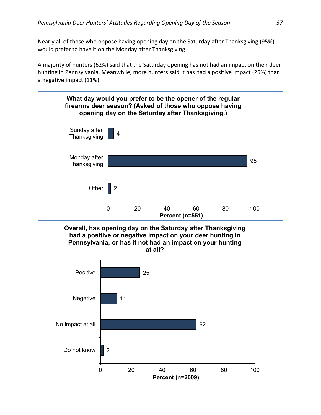Nearly all of those who oppose having opening day on the Saturday after Thanksgiving (95%) would prefer to have it on the Monday after Thanksgiving.

A majority of hunters (62%) said that the Saturday opening has not had an impact on their deer hunting in Pennsylvania. Meanwhile, more hunters said it has had a positive impact (25%) than a negative impact (11%).

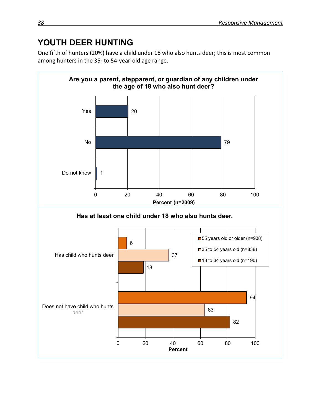# **YOUTH DEER HUNTING**

One fifth of hunters (20%) have a child under 18 who also hunts deer; this is most common among hunters in the 35- to 54-year-old age range.

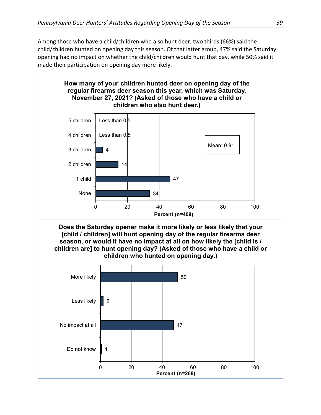Among those who have a child/children who also hunt deer, two thirds (66%) said the child/children hunted on opening day this season. Of that latter group, 47% said the Saturday opening had no impact on whether the child/children would hunt that day, while 50% said it made their participation on opening day more likely.

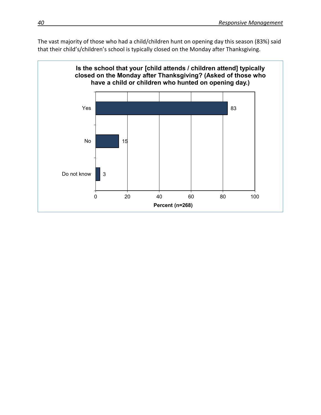The vast majority of those who had a child/children hunt on opening day this season (83%) said that their child's/children's school is typically closed on the Monday after Thanksgiving.

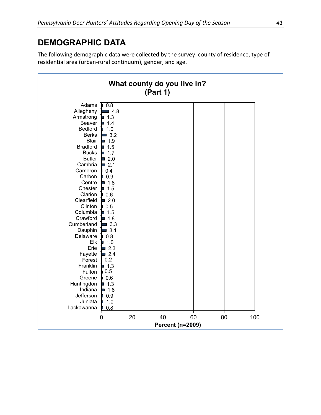## **DEMOGRAPHIC DATA**

The following demographic data were collected by the survey: county of residence, type of residential area (urban-rural continuum), gender, and age.

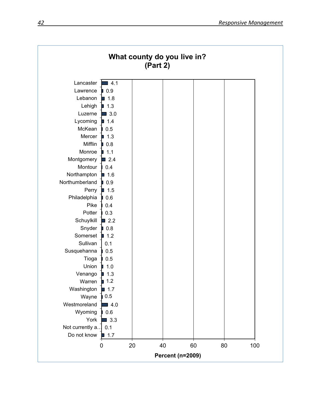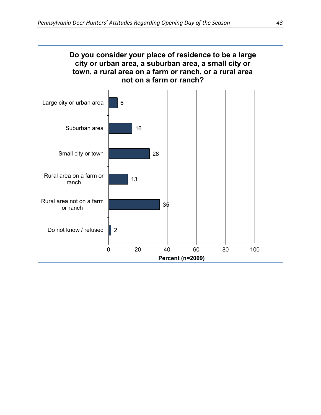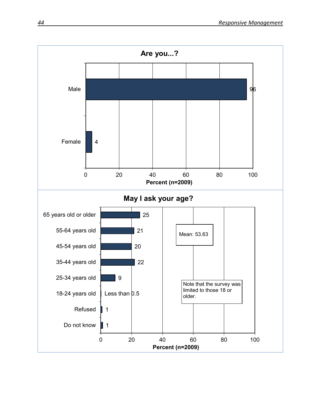